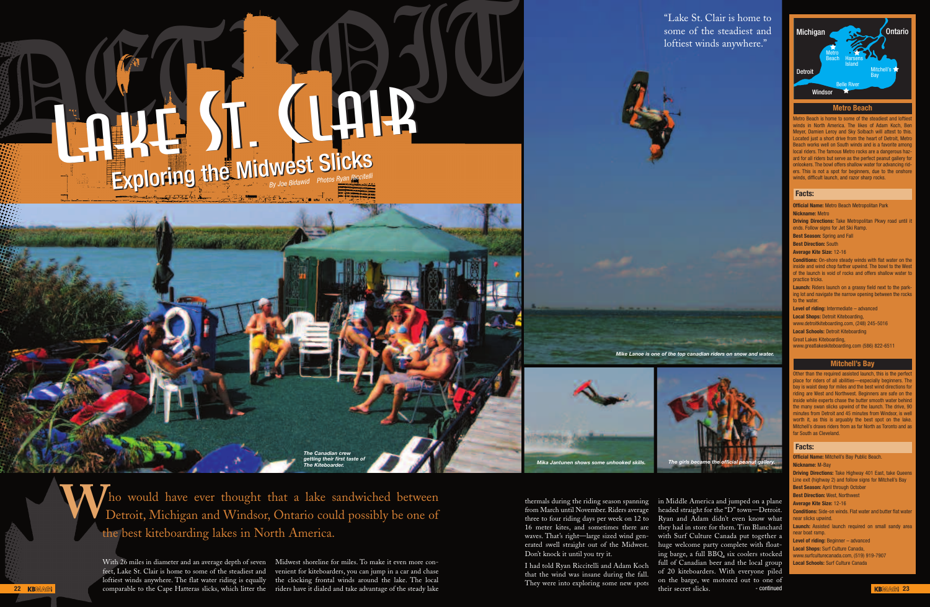thermals during the riding season spanning from March until November. Riders average three to four riding days per week on 12 to 16 meter kites, and sometimes there are waves. That's right—large sized wind gen-Don't knock it until you try it.

I had told Ryan Riccitelli and Adam Koch that the wind was insane during the fall. They were into exploring some new spots

erated swell straight out of the Midwest. huge welcome party complete with floatin Middle America and jumped on a plane headed straight for the "D" town—Detroit. Ryan and Adam didn't even know what they had in store for them. Tim Blanchard with Surf Culture Canada put together a ing barge, a full BBQ, six coolers stocked full of Canadian beer and the local group of 20 kiteboarders. With everyone piled on the barge, we motored out to one of their secret slicks.

Metro Beach is home to some of the steadiest and loftie winds in North America. The likes of Adam Koch, Be Meyer, Damien Leroy and Sky Solbach will attest to this. Located just a short drive from the heart of Detroit, Metro Beach works well on South winds and is a favorite amon ocal riders. The famous Metro rocks are a dangerous haz ard for all riders but serve as the perfect peanut gallery for onlookers. The bowl offers shallow water for advancing riders. This is not a spot for beginners, due to the onshore winds, difficult launch, and razor sharp rocks.

**Launch:** Riders launch on a grassy field next to the parking lot and navigate the narrow opening between the rocks o the water.

# "Lake St. Clair is home to some of the steadiest and loftiest winds anywhere."





**Official Name:** Metro Beach Metropolitan Park **Nickname:** Metro

**Driving Directions:** Take Metropolitan Pkwy road until it ends. Follow signs for Jet Ski Ramp.

**Best Season:** Spring and Fall

**Best Direction:** South

**Average Kite Size:** 12-16



**Conditions:** On-shore steady winds with flat water on the inside and wind chop farther upwind. The bowl to the West of the launch is void of rocks and offers shallow water to practice tricks.

**22 KBMA® Comparable to the Cape Hatteras slicks, which litter the** riders have it dialed and take advantage of the steady lake their secret slicks. The continued continued **KBMA® 23** With 26 miles in diameter and an average depth of seven Midwest shoreline for miles. To make it even more confeet, Lake St. Clair is home to some of the steadiest and venient for kiteboarders, you can jump in a car and chase loftiest winds anywhere. The flat water riding is equally the clocking frontal winds around the lake. The local

**Level of riding:** Intermediate – advanced **Local Shops:** Detroit Kiteboarding,

www.detroitkiteboarding.com, (248) 245-5016

**Local Schools:** Detroit Kiteboarding Great Lakes Kiteboarding,

www.greatlakeskiteboarding.com (586) 822-6511

**Official Name:** Mitchell's Bay Public Beach. **Nickname:** M-Bay **Driving Directions:** Take Highway 401 East, take Queens Line exit (highway 2) and follow signs for Mitchell's Bay **Best Season:** April through October **Best Direction:** West, Northwest **Average Kite Size:** 12-16 **Conditions:** Side-on winds. Flat water and butter flat water near slicks upwind. **Launch:** Assisted launch required on small sandy area near hoat ramp. **Level of riding:** Beginner – advanced **Local Shops:** Surf Culture Canada, www.surfculturecanada.com, (519) 919-7907 **Local Schools:** Surf Culture Canada

# **Metro Beach**

## **Facts:**

# **Mitchell's Bay**

ther than the required assisted launch, this is the perf lace for riders of all abilities—especially beginners. Th ay is waist deep for miles and the best wind directions for ding are West and Northwest. Beginners are safe on the iside while experts chase the butter smooth water behing he many swan slicks upwind of the launch. The drive, 90 minutes from Detroit and 45 minutes from Windsor, is well worth it, as this is arguably the best spot on the lake. Mitchell's draws riders from as far North as Toronto and as ar South as Cleveland

### **Facts:**



*Mika Jantunen shows some unhooked skills. The girls became the official peanut gallery.*

*getting their first taste of The Kiteboarder.*

ho would have ever thought that a lake sandwiched between Tho would have ever thought that a lake sandwiched between Detroit, Michigan and Windsor, Ontario could possibly be one of the best kiteboarding lakes in North America.